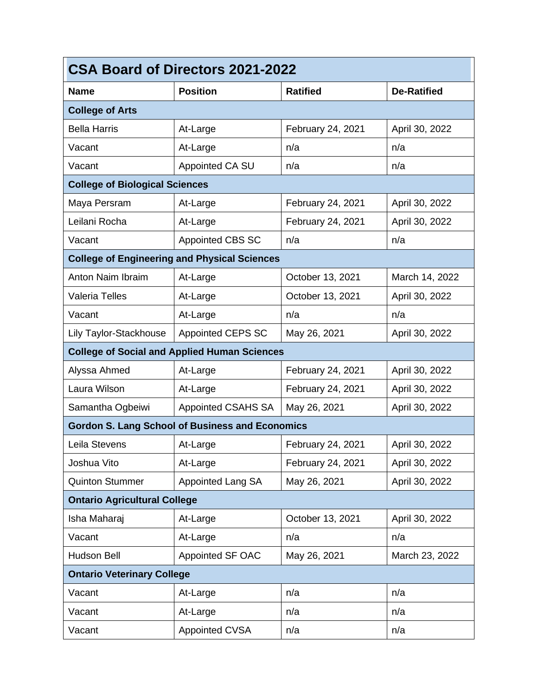| <b>CSA Board of Directors 2021-2022</b>             |                                                        |                   |                    |
|-----------------------------------------------------|--------------------------------------------------------|-------------------|--------------------|
| <b>Name</b>                                         | <b>Position</b>                                        | <b>Ratified</b>   | <b>De-Ratified</b> |
| <b>College of Arts</b>                              |                                                        |                   |                    |
| <b>Bella Harris</b>                                 | At-Large                                               | February 24, 2021 | April 30, 2022     |
| Vacant                                              | At-Large                                               | n/a               | n/a                |
| Vacant                                              | Appointed CA SU                                        | n/a               | n/a                |
| <b>College of Biological Sciences</b>               |                                                        |                   |                    |
| Maya Persram                                        | At-Large                                               | February 24, 2021 | April 30, 2022     |
| Leilani Rocha                                       | At-Large                                               | February 24, 2021 | April 30, 2022     |
| Vacant                                              | <b>Appointed CBS SC</b>                                | n/a               | n/a                |
|                                                     | <b>College of Engineering and Physical Sciences</b>    |                   |                    |
| Anton Naim Ibraim                                   | At-Large                                               | October 13, 2021  | March 14, 2022     |
| <b>Valeria Telles</b>                               | At-Large                                               | October 13, 2021  | April 30, 2022     |
| Vacant                                              | At-Large                                               | n/a               | n/a                |
| Lily Taylor-Stackhouse                              | <b>Appointed CEPS SC</b>                               | May 26, 2021      | April 30, 2022     |
| <b>College of Social and Applied Human Sciences</b> |                                                        |                   |                    |
| Alyssa Ahmed                                        | At-Large                                               | February 24, 2021 | April 30, 2022     |
| Laura Wilson                                        | At-Large                                               | February 24, 2021 | April 30, 2022     |
| Samantha Ogbeiwi                                    | Appointed CSAHS SA                                     | May 26, 2021      | April 30, 2022     |
|                                                     | <b>Gordon S. Lang School of Business and Economics</b> |                   |                    |
| Leila Stevens                                       | At-Large                                               | February 24, 2021 | April 30, 2022     |
| Joshua Vito                                         | At-Large                                               | February 24, 2021 | April 30, 2022     |
| <b>Quinton Stummer</b>                              | <b>Appointed Lang SA</b>                               | May 26, 2021      | April 30, 2022     |
| <b>Ontario Agricultural College</b>                 |                                                        |                   |                    |
| Isha Maharaj                                        | At-Large                                               | October 13, 2021  | April 30, 2022     |
| Vacant                                              | At-Large                                               | n/a               | n/a                |
| <b>Hudson Bell</b>                                  | Appointed SF OAC                                       | May 26, 2021      | March 23, 2022     |
| <b>Ontario Veterinary College</b>                   |                                                        |                   |                    |
| Vacant                                              | At-Large                                               | n/a               | n/a                |
| Vacant                                              | At-Large                                               | n/a               | n/a                |
| Vacant                                              | <b>Appointed CVSA</b>                                  | n/a               | n/a                |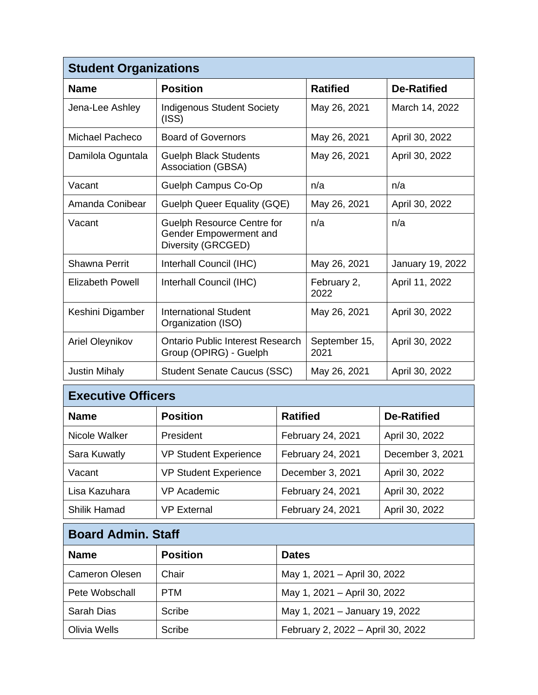| <b>Student Organizations</b> |                                                                                   |                       |                    |
|------------------------------|-----------------------------------------------------------------------------------|-----------------------|--------------------|
| <b>Name</b>                  | <b>Position</b>                                                                   | <b>Ratified</b>       | <b>De-Ratified</b> |
| Jena-Lee Ashley              | <b>Indigenous Student Society</b><br>(ISS)                                        | May 26, 2021          | March 14, 2022     |
| Michael Pacheco              | <b>Board of Governors</b>                                                         | May 26, 2021          | April 30, 2022     |
| Damilola Oguntala            | <b>Guelph Black Students</b><br>Association (GBSA)                                | May 26, 2021          | April 30, 2022     |
| Vacant                       | Guelph Campus Co-Op                                                               | n/a                   | n/a                |
| Amanda Conibear              | Guelph Queer Equality (GQE)                                                       | May 26, 2021          | April 30, 2022     |
| Vacant                       | <b>Guelph Resource Centre for</b><br>Gender Empowerment and<br>Diversity (GRCGED) | n/a                   | n/a                |
| Shawna Perrit                | Interhall Council (IHC)                                                           | May 26, 2021          | January 19, 2022   |
| <b>Elizabeth Powell</b>      | Interhall Council (IHC)                                                           | February 2,<br>2022   | April 11, 2022     |
| Keshini Digamber             | <b>International Student</b><br>Organization (ISO)                                | May 26, 2021          | April 30, 2022     |
| Ariel Oleynikov              | Ontario Public Interest Research<br>Group (OPIRG) - Guelph                        | September 15,<br>2021 | April 30, 2022     |
| <b>Justin Mihaly</b>         | <b>Student Senate Caucus (SSC)</b>                                                | May 26, 2021          | April 30, 2022     |

| <b>Executive Officers</b> |                              |                   |  |
|---------------------------|------------------------------|-------------------|--|
| <b>Name</b>               | <b>Position</b>              | <b>Ratified</b>   |  |
| Nicole Walker             | President                    | February 24, 2021 |  |
| <b>Sara Kuwatly</b>       | <b>VP Student Experience</b> | February 24, 2021 |  |
|                           |                              |                   |  |

| Sara Kuwatly  | <b>VP Student Experience</b> | February 24, 2021 | December 3, 2021 |
|---------------|------------------------------|-------------------|------------------|
| Vacant        | <b>VP Student Experience</b> | December 3, 2021  | April 30, 2022   |
| Lisa Kazuhara | VP Academic                  | February 24, 2021 | April 30, 2022   |
| Shilik Hamad  | <b>VP External</b>           | February 24, 2021 | April 30, 2022   |

**De-Ratified** 

April 30, 2022

| <b>Board Admin. Staff</b> |                 |                                   |  |
|---------------------------|-----------------|-----------------------------------|--|
| <b>Name</b>               | <b>Position</b> | <b>Dates</b>                      |  |
| <b>Cameron Olesen</b>     | Chair           | May 1, 2021 - April 30, 2022      |  |
| Pete Wobschall            | <b>PTM</b>      | May 1, 2021 - April 30, 2022      |  |
| Sarah Dias                | Scribe          | May 1, 2021 - January 19, 2022    |  |
| Olivia Wells              | Scribe          | February 2, 2022 - April 30, 2022 |  |